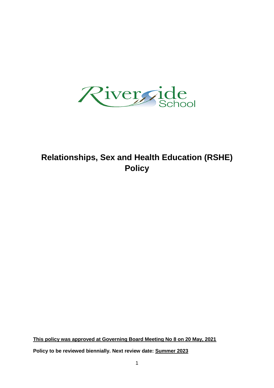

# **Relationships, Sex and Health Education (RSHE) Policy**

**This policy was approved at Governing Board Meeting No 8 on 20 May, 2021**

**Policy to be reviewed biennially. Next review date: Summer 2023**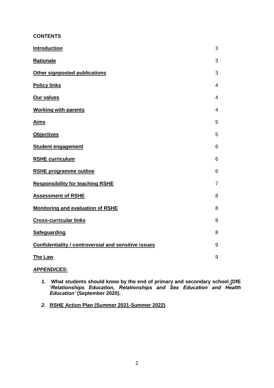**CONTENTS**

| <b>Introduction</b>                                         | 3 |
|-------------------------------------------------------------|---|
| <b>Rationale</b>                                            | 3 |
| Other signposted publications                               | 3 |
| <b>Policy links</b>                                         | 4 |
| Our values                                                  | 4 |
| <b>Working with parents</b>                                 | 4 |
| <b>Aims</b>                                                 | 5 |
| <b>Objectives</b>                                           | 5 |
| <b>Student engagement</b>                                   | 6 |
| <b>RSHE curriculum</b>                                      | 6 |
| <b>RSHE programme outline</b>                               | 6 |
| <b>Responsibility for teaching RSHE</b>                     | 7 |
| <b>Assessment of RSHE</b>                                   | 8 |
| <b>Monitoring and evaluation of RSHE</b>                    | 8 |
| <b>Cross-curricular links</b>                               | 8 |
| Safeguarding                                                | 8 |
| <b>Confidentiality / controversial and sensitive issues</b> | 9 |
| <b>The Law</b>                                              | 9 |

*APPENDICES:*

- *1.* **What students should know by the end of primary and secondary school (DfE**  *'Relationships Education, Relationships and Sex Education and Health Education'* **(September 2020).**
- *2.* **RSHE Action Plan (Summer 2021-Summer 2022)**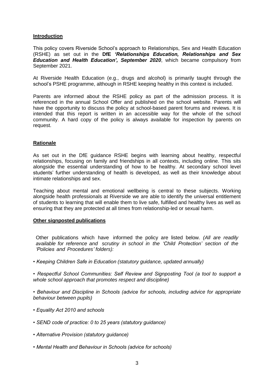#### **Introduction**

This policy covers Riverside School's approach to Relationships, Sex and Health Education (RSHE) as set out in the **DfE** *'Relationships Education, Relationships and Sex Education and Health Education', September 2020*, which became compulsory from September 2021.

At Riverside Health Education (e.g., drugs and alcohol) is primarily taught through the school's PSHE programme, although in RSHE keeping healthy in this context is included.

Parents are informed about the RSHE policy as part of the admission process. It is referenced in the annual School Offer and published on the school website. Parents will have the opportunity to discuss the policy at school-based parent forums and reviews. It is intended that this report is written in an accessible way for the whole of the school community. A hard copy of the policy is always available for inspection by parents on request.

# **Rationale**

As set out in the DfE guidance RSHE begins with learning about healthy, respectful relationships, focusing on family and friendships in all contexts, including online. This sits alongside the essential understanding of how to be healthy. At secondary school level students' further understanding of health is developed, as well as their knowledge about intimate relationships and sex.

Teaching about mental and emotional wellbeing is central to these subjects. Working alongside health professionals at Riverside we are able to identify the universal entitlement of students to learning that will enable them to live safe, fulfilled and healthy lives as well as ensuring that they are protected at all times from relationship-led or sexual harm.

# **Other signposted publications**

Other publications which have informed the policy are listed below. *(All are readily available for reference and scrutiny in school in the 'Child Protection' section of the 'Policies and Procedures' folders):*

*• Keeping Children Safe in Education (statutory guidance, updated annually)* 

*• Respectful School Communities: Self Review and Signposting Tool (a tool to support a whole school approach that promotes respect and discipline)* 

*• Behaviour and Discipline in Schools (advice for schools, including advice for appropriate behaviour between pupils)* 

- *Equality Act 2010 and schools*
- *SEND code of practice: 0 to 25 years (statutory guidance)*
- *Alternative Provision (statutory guidance)*
- *Mental Health and Behaviour in Schools (advice for schools)*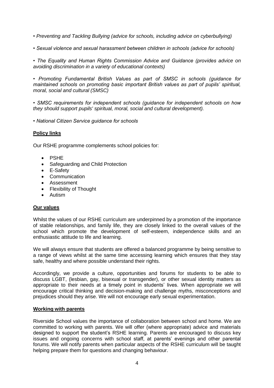- *Preventing and Tackling Bullying (advice for schools, including advice on cyberbullying)*
- *Sexual violence and sexual harassment between children in schools (advice for schools)*

*• The Equality and Human Rights Commission Advice and Guidance (provides advice on avoiding discrimination in a variety of educational contexts)* 

*• Promoting Fundamental British Values as part of SMSC in schools (guidance for maintained schools on promoting basic important British values as part of pupils' spiritual, moral, social and cultural (SMSC)* 

*• SMSC requirements for independent schools (guidance for independent schools on how they should support pupils' spiritual, moral, social and cultural development).* 

*• National Citizen Service guidance for schools*

# **Policy links**

Our RSHE programme complements school policies for:

- PSHE
- Safeguarding and Child Protection
- E-Safety
- Communication
- Assessment
- Flexibility of Thought
- Autism

# **Our values**

Whilst the values of our RSHE curriculum are underpinned by a promotion of the importance of stable relationships, and family life, they are closely linked to the overall values of the school which promote the development of self-esteem, independence skills and an enthusiastic attitude to life and learning.

We will always ensure that students are offered a balanced programme by being sensitive to a range of views whilst at the same time accessing learning which ensures that they stay safe, healthy and where possible understand their rights.

Accordingly, we provide a culture, opportunities and forums for students to be able to discuss LGBT, (lesbian, gay, bisexual or transgender), or other sexual identity matters as appropriate to their needs at a timely point in students' lives. When appropriate we will encourage critical thinking and decision-making and challenge myths, misconceptions and prejudices should they arise. We will not encourage early sexual experimentation.

#### **Working with parents**

Riverside School values the importance of collaboration between school and home. We are committed to working with parents. We will offer (where appropriate) advice and materials designed to support the student's RSHE learning. Parents are encouraged to discuss key issues and ongoing concerns with school staff, at parents' evenings and other parental forums. We will notify parents when particular aspects of the RSHE curriculum will be taught helping prepare them for questions and changing behaviour.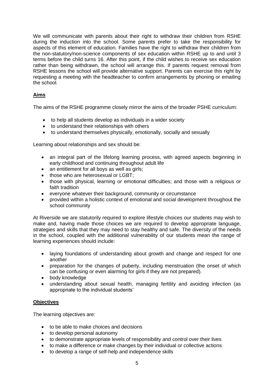We will communicate with parents about their right to withdraw their children from RSHE during the induction into the school. Some parents prefer to take the responsibility for aspects of this element of education. Families have the right to withdraw their children from the non-statutory/non-science components of sex education within RSHE up to and until 3 terms before the child turns 16. After this point, if the child wishes to receive sex education rather than being withdrawn, the school will arrange this. If parents request removal from RSHE lessons the school will provide alternative support. Parents can exercise this right by requesting a meeting with the headteacher to confirm arrangements by phoning or emailing the school.

# **Aims**

The aims of the RSHE programme closely mirror the aims of the broader PSHE curriculum:

- to help all students develop as individuals in a wider society
- to understand their relationships with others
- to understand themselves physically, emotionally, socially and sexually

Learning about relationships and sex should be:

- an integral part of the lifelong learning process, with agreed aspects beginning in early childhood and continuing throughout adult life
- an entitlement for all boys as well as girls:
- those who are heterosexual or LGBT;
- those with physical, learning or emotional difficulties; and those with a religious or faith tradition
- everyone whatever their background, community or circumstance
- provided within a holistic context of emotional and social development throughout the school community

At Riverside we are statutorily required to explore lifestyle choices our students may wish to make and, having made those choices we are required to develop appropriate language, strategies and skills that they may need to stay healthy and safe. The diversity of the needs in the school, coupled with the additional vulnerability of our students mean the range of learning experiences should include:

- laying foundations of understanding about growth and change and respect for one another
- preparation for the changes of puberty, including menstruation (the onset of which can be confusing or even alarming for girls if they are not prepared).
- body knowledge
- understanding about sexual health, managing fertility and avoiding infection (as appropriate to the individual students'

# **Objectives**

The learning objectives are:

- to be able to make choices and decisions
- to develop personal autonomy
- to demonstrate appropriate levels of responsibility and control over their lives
- to make a difference or make changes by their individual or collective actions
- to develop a range of self-help and independence skills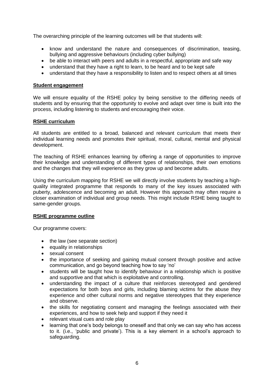The overarching principle of the learning outcomes will be that students will:

- know and understand the nature and consequences of discrimination, teasing, bullying and aggressive behaviours (including cyber bullying)
- be able to interact with peers and adults in a respectful, appropriate and safe way
- understand that they have a right to learn, to be heard and to be kept safe
- understand that they have a responsibility to listen and to respect others at all times

#### **Student engagement**

We will ensure equality of the RSHE policy by being sensitive to the differing needs of students and by ensuring that the opportunity to evolve and adapt over time is built into the process, including listening to students and encouraging their voice.

# **RSHE curriculum**

All students are entitled to a broad, balanced and relevant curriculum that meets their individual learning needs and promotes their spiritual, moral, cultural, mental and physical development.

The teaching of RSHE enhances learning by offering a range of opportunities to improve their knowledge and understanding of different types of relationships, their own emotions and the changes that they will experience as they grow up and become adults.

Using the curriculum mapping for RSHE we will directly involve students by teaching a highquality integrated programme that responds to many of the key issues associated with puberty, adolescence and becoming an adult. However this approach may often require a closer examination of individual and group needs. This might include RSHE being taught to same-gender groups.

# **RSHE programme outline**

Our programme covers:

- the law (see separate section)
- equality in relationships
- sexual consent
- the importance of seeking and gaining mutual consent through positive and active communication, and go beyond teaching how to say 'no'
- students will be taught how to identify behaviour in a relationship which is positive and supportive and that which is exploitative and controlling.
- understanding the impact of a culture that reinforces stereotyped and gendered expectations for both boys and girls, including blaming victims for the abuse they experience and other cultural norms and negative stereotypes that they experience and observe.
- the skills for negotiating consent and managing the feelings associated with their experiences, and how to seek help and support if they need it
- relevant visual cues and role play
- learning that one's body belongs to oneself and that only we can say who has access to it. (i.e., 'public and private'). This is a key element in a school's approach to safeguarding.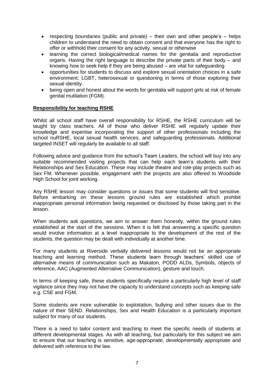- respecting boundaries (public and private) their own and other people's helps children to understand the need to obtain consent and that everyone has the right to offer or withhold their consent for any activity, sexual or otherwise
- learning the correct biological/medical names for the genitalia and reproductive organs. Having the right language to describe the private parts of their body – and knowing how to seek help if they are being abused – are vital for safeguarding
- opportunities for students to discuss and explore sexual orientation choices in a safe environment; LGBT, heterosexual or questioning in terms of those exploring their sexual identity.
- being open and honest about the words for genitalia will support girls at risk of female genital mutilation (FGM).

# **Responsibility for teaching RSHE**

Whilst all school staff have overall responsibility for RSHE, the RSHE curriculum will be taught by class teachers. All of those who deliver RSHE will regularly update their knowledge and expertise incorporating the support of other professionals including the school nuRSHE, local sexual health services, and safeguarding professionals. Additional targeted INSET will regularly be available to all staff.

Following advice and guidance from the school's Team Leaders, the school will buy into any suitable recommended visiting projects that can help each team's students with their Relationships and Sex Education. These may include theatre and role-play projects such as Sex FM. Whenever possible, engagement with the projects are also offered to Woodside High School for joint working.

Any RSHE lesson may consider questions or issues that some students will find sensitive. Before embarking on these lessons ground rules are established which prohibit inappropriate personal information being requested or disclosed by those taking part in the lesson.

When students ask questions, we aim to answer them honestly, within the ground rules established at the start of the sessions. When it is felt that answering a specific question would involve information at a level inappropriate to the development of the rest of the students, the question may be dealt with individually at another time.

For many students at Riverside verbally delivered lessons would not be an appropriate teaching and learning method. These students learn through teachers' skilled use of alternative means of communication such as Makaton, PODD ALDs, Symbols, objects of reference, AAC (Augmented Alternative Communication), gesture and touch.

In terms of keeping safe, these students specifically require a particularly high level of staff vigilance since they may not have the capacity to understand concepts such as keeping safe e.g. CSE and FGM.

Some students are more vulnerable to exploitation, bullying and other issues due to the nature of their SEND. Relationships, Sex and Health Education is a particularly important subject for many of our students.

There is a need to tailor content and teaching to meet the specific needs of students at different developmental stages. As with all teaching, but particularly for this subject we aim to ensure that our teaching is sensitive, age-appropriate, developmentally appropriate and delivered with reference to the law.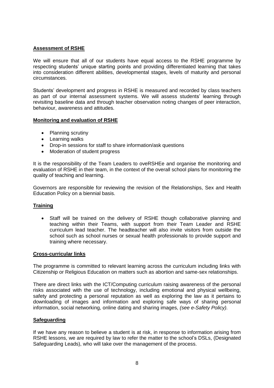#### **Assessment of RSHE**

We will ensure that all of our students have equal access to the RSHE programme by respecting students' unique starting points and providing differentiated learning that takes into consideration different abilities, developmental stages, levels of maturity and personal circumstances.

Students' development and progress in RSHE is measured and recorded by class teachers as part of our internal assessment systems. We will assess students' learning through revisiting baseline data and through teacher observation noting changes of peer interaction, behaviour, awareness and attitudes.

#### **Monitoring and evaluation of RSHE**

- Planning scrutiny
- Learning walks
- Drop-in sessions for staff to share information/ask questions
- Moderation of student progress

It is the responsibility of the Team Leaders to oveRSHEe and organise the monitoring and evaluation of RSHE in their team, in the context of the overall school plans for monitoring the quality of teaching and learning.

Governors are responsible for reviewing the revision of the Relationships, Sex and Health Education Policy on a biennial basis.

# **Training**

 Staff will be trained on the delivery of RSHE though collaborative planning and teaching within their Teams, with support from their Team Leader and RSHE curriculum lead teacher. The headteacher will also invite visitors from outside the school such as school nurses or sexual health professionals to provide support and training where necessary.

#### **Cross-curricular links**

The programme is committed to relevant learning across the curriculum including links with Citizenship or Religious Education on matters such as abortion and same-sex relationships.

There are direct links with the ICT/Computing curriculum raising awareness of the personal risks associated with the use of technology, including emotional and physical wellbeing, safety and protecting a personal reputation as well as exploring the law as it pertains to downloading of images and information and exploring safe ways of sharing personal information, social networking, online dating and sharing images, *(see e-Safety Policy).*

# **Safeguarding**

If we have any reason to believe a student is at risk, in response to information arising from RSHE lessons, we are required by law to refer the matter to the school's DSLs, (Designated Safeguarding Leads), who will take over the management of the process.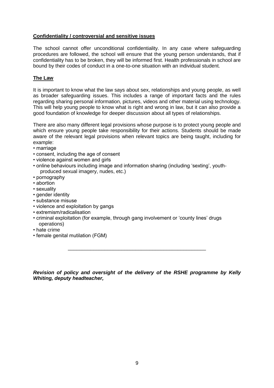# **Confidentiality / controversial and sensitive issues**

The school cannot offer unconditional confidentiality. In any case where safeguarding procedures are followed, the school will ensure that the young person understands, that if confidentiality has to be broken, they will be informed first. Health professionals in school are bound by their codes of conduct in a one-to-one situation with an individual student.

# **The Law**

It is important to know what the law says about sex, relationships and young people, as well as broader safeguarding issues. This includes a range of important facts and the rules regarding sharing personal information, pictures, videos and other material using technology. This will help young people to know what is right and wrong in law, but it can also provide a good foundation of knowledge for deeper discussion about all types of relationships.

There are also many different legal provisions whose purpose is to protect young people and which ensure young people take responsibility for their actions. Students should be made aware of the relevant legal provisions when relevant topics are being taught, including for example:

- marriage
- consent, including the age of consent
- violence against women and girls
- online behaviours including image and information sharing (including 'sexting', youth produced sexual imagery, nudes, etc.)
- pornography
- abortion
- sexuality
- gender identity
- substance misuse
- violence and exploitation by gangs
- extremism/radicalisation
- criminal exploitation (for example, through gang involvement or 'county lines' drugs operations)
- hate crime
- female genital mutilation (FGM)

*Revision of policy and oversight of the delivery of the RSHE programme by Kelly Whiting, deputy headteacher,*

\_\_\_\_\_\_\_\_\_\_\_\_\_\_\_\_\_\_\_\_\_\_\_\_\_\_\_\_\_\_\_\_\_\_\_\_\_\_\_\_\_\_\_\_\_\_\_\_\_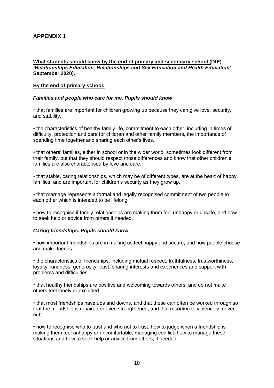# **APPENDIX 1**

**What students should know by the end of primary and secondary school (DfE)** *'Relationships Education, Relationships and Sex Education and Health Education'* **September 2020).**

#### **By the end of primary school:**

#### *Families and people who care for me. Pupils should know*

• that families are important for children growing up because they can give love, security, and stability.

• the characteristics of healthy family life, commitment to each other, including in times of difficulty, protection and care for children and other family members, the importance of spending time together and sharing each other's lives.

• that others' families, either in school or in the wider world, sometimes look different from their family, but that they should respect those differences and know that other children's families are also characterised by love and care.

• that stable, caring relationships, which may be of different types, are at the heart of happy families, and are important for children's security as they grow up.

• that marriage represents a formal and legally recognised commitment of two people to each other which is intended to be lifelong.

• how to recognise if family relationships are making them feel unhappy or unsafe, and how to seek help or advice from others if needed.

#### *Caring friendships. Pupils should know*

• how important friendships are in making us feel happy and secure, and how people choose and make friends.

• the characteristics of friendships, including mutual respect, truthfulness, trustworthiness, loyalty, kindness, generosity, trust, sharing interests and experiences and support with problems and difficulties.

• that healthy friendships are positive and welcoming towards others, and do not make others feel lonely or excluded.

• that most friendships have ups and downs, and that these can often be worked through so that the friendship is repaired or even strengthened, and that resorting to violence is never right.

• how to recognise who to trust and who not to trust, how to judge when a friendship is making them feel unhappy or uncomfortable, managing conflict, how to manage these situations and how to seek help or advice from others, if needed.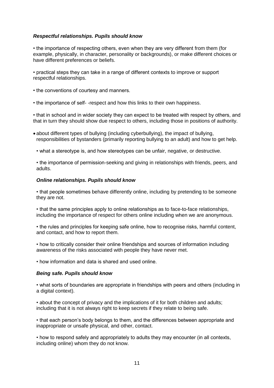# *Respectful relationships. Pupils should know*

• the importance of respecting others, even when they are very different from them (for example, physically, in character, personality or backgrounds), or make different choices or have different preferences or beliefs.

• practical steps they can take in a range of different contexts to improve or support respectful relationships.

- the conventions of courtesy and manners.
- the importance of self- -respect and how this links to their own happiness.

• that in school and in wider society they can expect to be treated with respect by others, and that in turn they should show due respect to others, including those in positions of authority.

- about different types of bullying (including cyberbullying), the impact of bullying, responsibilities of bystanders (primarily reporting bullying to an adult) and how to get help.
	- what a stereotype is, and how stereotypes can be unfair, negative, or destructive.

• the importance of permission-seeking and giving in relationships with friends, peers, and adults.

#### *Online relationships. Pupils should know*

• that people sometimes behave differently online, including by pretending to be someone they are not.

• that the same principles apply to online relationships as to face-to-face relationships, including the importance of respect for others online including when we are anonymous.

• the rules and principles for keeping safe online, how to recognise risks, harmful content, and contact, and how to report them.

• how to critically consider their online friendships and sources of information including awareness of the risks associated with people they have never met.

• how information and data is shared and used online.

#### *Being safe. Pupils should know*

• what sorts of boundaries are appropriate in friendships with peers and others (including in a digital context).

• about the concept of privacy and the implications of it for both children and adults; including that it is not always right to keep secrets if they relate to being safe.

• that each person's body belongs to them, and the differences between appropriate and inappropriate or unsafe physical, and other, contact.

• how to respond safely and appropriately to adults they may encounter (in all contexts, including online) whom they do not know.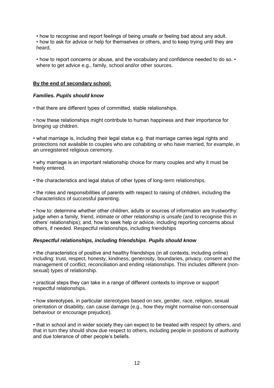• how to recognise and report feelings of being unsafe or feeling bad about any adult. • how to ask for advice or help for themselves or others, and to keep trying until they are heard,

• how to report concerns or abuse, and the vocabulary and confidence needed to do so. • where to get advice e.g., family, school and/or other sources.

# **By the end of secondary school:**

# *Families. Pupils should know*

• that there are different types of committed, stable relationships.

• how these relationships might contribute to human happiness and their importance for bringing up children.

• what marriage is, including their legal status e.g. that marriage carries legal rights and protections not available to couples who are cohabiting or who have married, for example, in an unregistered religious ceremony.

• why marriage is an important relationship choice for many couples and why it must be freely entered.

• the characteristics and legal status of other types of long-term relationships.

• the roles and responsibilities of parents with respect to raising of children, including the characteristics of successful parenting.

• how to: determine whether other children, adults or sources of information are trustworthy: judge when a family, friend, intimate or other relationship is unsafe (and to recognise this in others' relationships); and, how to seek help or advice, including reporting concerns about others, if needed. Respectful relationships, including friendships

# *Respectful relationships, including friendships. Pupils should know*

• the characteristics of positive and healthy friendships (in all contexts, including online) including: trust, respect, honesty, kindness, generosity, boundaries, privacy, consent and the management of conflict, reconciliation and ending relationships. This includes different (nonsexual) types of relationship.

• practical steps they can take in a range of different contexts to improve or support respectful relationships.

• how stereotypes, in particular stereotypes based on sex, gender, race, religion, sexual orientation or disability, can cause damage (e.g., how they might normalise non-consensual behaviour or encourage prejudice).

• that in school and in wider society they can expect to be treated with respect by others, and that in turn they should show due respect to others, including people in positions of authority and due tolerance of other people's beliefs.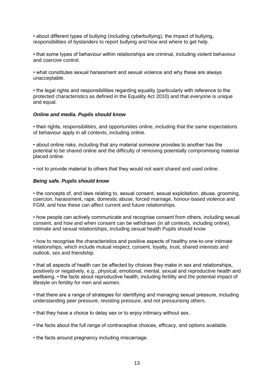• about different types of bullying (including cyberbullying), the impact of bullying, responsibilities of bystanders to report bullying and how and where to get help.

• that some types of behaviour within relationships are criminal, including violent behaviour and coercive control.

• what constitutes sexual harassment and sexual violence and why these are always unacceptable.

• the legal rights and responsibilities regarding equality (particularly with reference to the protected characteristics as defined in the Equality Act 2010) and that everyone is unique and equal.

#### *Online and media. Pupils should know*

• their rights, responsibilities, and opportunities online, including that the same expectations of behaviour apply in all contexts, including online.

• about online risks, including that any material someone provides to another has the potential to be shared online and the difficulty of removing potentially compromising material placed online.

• not to provide material to others that they would not want shared and used online.

#### *Being safe. Pupils should know*

• the concepts of, and laws relating to, sexual consent, sexual exploitation, abuse, grooming, coercion, harassment, rape, domestic abuse, forced marriage, honour-based violence and FGM, and how these can affect current and future relationships.

• how people can actively communicate and recognise consent from others, including sexual consent, and how and when consent can be withdrawn (in all contexts, including online). Intimate and sexual relationships, including sexual health Pupils should know

• how to recognise the characteristics and positive aspects of healthy one-to-one intimate relationships, which include mutual respect, consent, loyalty, trust, shared interests and outlook, sex and friendship.

• that all aspects of health can be affected by choices they make in sex and relationships, positively or negatively, e.g., physical, emotional, mental, sexual and reproductive health and wellbeing. • the facts about reproductive health, including fertility and the potential impact of lifestyle on fertility for men and women.

• that there are a range of strategies for identifying and managing sexual pressure, including understanding peer pressure, resisting pressure, and not pressurising others.

• that they have a choice to delay sex or to enjoy intimacy without sex.

• the facts about the full range of contraceptive choices, efficacy, and options available.

• the facts around pregnancy including miscarriage.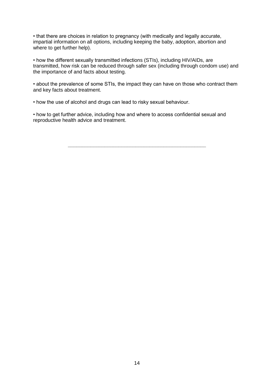• that there are choices in relation to pregnancy (with medically and legally accurate, impartial information on all options, including keeping the baby, adoption, abortion and where to get further help).

• how the different sexually transmitted infections (STIs), including HIV/AIDs, are transmitted, how risk can be reduced through safer sex (including through condom use) and the importance of and facts about testing.

• about the prevalence of some STIs, the impact they can have on those who contract them and key facts about treatment.

• how the use of alcohol and drugs can lead to risky sexual behaviour.

• how to get further advice, including how and where to access confidential sexual and reproductive health advice and treatment.

**\_\_\_\_\_\_\_\_\_\_\_\_\_\_\_\_\_\_\_\_\_\_\_\_\_\_\_\_\_\_\_\_\_\_\_\_\_\_\_\_\_\_\_\_\_\_\_\_\_**

14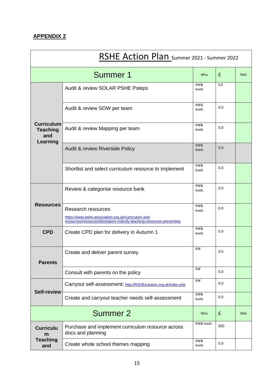# **APPENDIX 2**

| RSHE Action Plan summer 2021 - Summer 2022              |                                                                                                                                                  |              |     |            |
|---------------------------------------------------------|--------------------------------------------------------------------------------------------------------------------------------------------------|--------------|-----|------------|
|                                                         | <b>Summer 1</b>                                                                                                                                  | Who          | £   | <b>RAG</b> |
| <b>Curriculum</b><br><b>Teaching</b><br>and<br>Learning | Audit & review SOLAR PSHE Psteps                                                                                                                 | KW&<br>leads | 0.0 |            |
|                                                         | Audit & review SOW per team                                                                                                                      | KW&<br>leads | 0.0 |            |
|                                                         | Audit & review Mapping per team                                                                                                                  | KW&<br>leads | 0.0 |            |
|                                                         | Audit & review Riverside Policy                                                                                                                  | KW&<br>leads | 0.0 |            |
|                                                         | Shortlist and select curriculum resource to implement                                                                                            | KW&<br>leads | 0.0 |            |
| <b>Resources</b>                                        | Review & categorise resource bank                                                                                                                | KW&<br>leads | 0.0 |            |
|                                                         | Research resources<br>https://www.pshe-association.org.uk/curriculum-and-<br>resources/resources/disrespect-nobody-teaching-resources-preventing | KW&<br>leads | 0.0 |            |
| <b>CPD</b>                                              | Create CPD plan for delivery in Autumn 1                                                                                                         | KW&<br>leads | 0.0 |            |
| <b>Parents</b>                                          | Create and deliver parent survey                                                                                                                 | <b>KW</b>    | 0.0 |            |
|                                                         | Consult with parents on the policy                                                                                                               | <b>KW</b>    | 0.0 |            |
|                                                         | Carryout self-assessment; http://RSHEsolution.org.uk/index.php                                                                                   | KW           | 0.0 |            |
| <b>Self-review</b>                                      | Create and carryout teacher needs self-assessment                                                                                                | KW&<br>leads | 0.0 |            |
| <b>Summer 2</b>                                         |                                                                                                                                                  | Who          | £   | <b>RAG</b> |
| <b>Curriculu</b><br>m                                   | Purchase and implement curriculum resource across<br>docs and planning                                                                           | KW& leads    | 500 |            |
| <b>Teaching</b><br>and                                  | Create whole school themes mapping                                                                                                               | KW&<br>leads | 0.0 |            |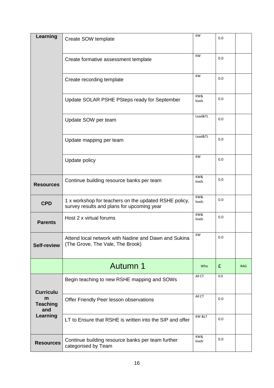| Learning                                        | Create SOW template                                                                                 | <b>KW</b>    | 0.0 |            |
|-------------------------------------------------|-----------------------------------------------------------------------------------------------------|--------------|-----|------------|
|                                                 | Create formative assessment template                                                                | <b>KW</b>    | 0.0 |            |
|                                                 | Create recording template                                                                           | <b>KW</b>    | 0.0 |            |
|                                                 | Update SOLAR PSHE PSteps ready for September                                                        | KW&<br>leads | 0.0 |            |
|                                                 | Update SOW per team                                                                                 | Lead&TL      | 0.0 |            |
|                                                 | Update mapping per team                                                                             | Lead&TL      | 0.0 |            |
|                                                 | Update policy                                                                                       | <b>KW</b>    | 0.0 |            |
| <b>Resources</b>                                | Continue building resource banks per team                                                           | KW&<br>leads | 0.0 |            |
| <b>CPD</b>                                      | 1 x workshop for teachers on the updated RSHE policy,<br>survey results and plans for upcoming year | KW&<br>leads | 0.0 |            |
| <b>Parents</b>                                  | Host 2 x virtual forums                                                                             | KW&<br>leads | 0.0 |            |
| <b>Self-review</b>                              | Attend local network with Nadine and Dawn and Sukina<br>(The Grove, The Vale, The Brook)            | <b>KW</b>    | 0.0 |            |
|                                                 | <b>Autumn 1</b>                                                                                     | Who          | £   | <b>RAG</b> |
|                                                 | Begin teaching to new RSHE mapping and SOWs                                                         | All CT       | 0.0 |            |
| <b>Curriculu</b><br>m<br><b>Teaching</b><br>and | Offer Friendly Peer lesson observations                                                             | All CT       | 0.0 |            |
| Learning                                        | LT to Ensure that RSHE is written into the SIP and offer                                            | KW <         | 0.0 |            |
| <b>Resources</b>                                | Continue building resource banks per team further<br>categorised by Team                            | KW&<br>leads | 0.0 |            |